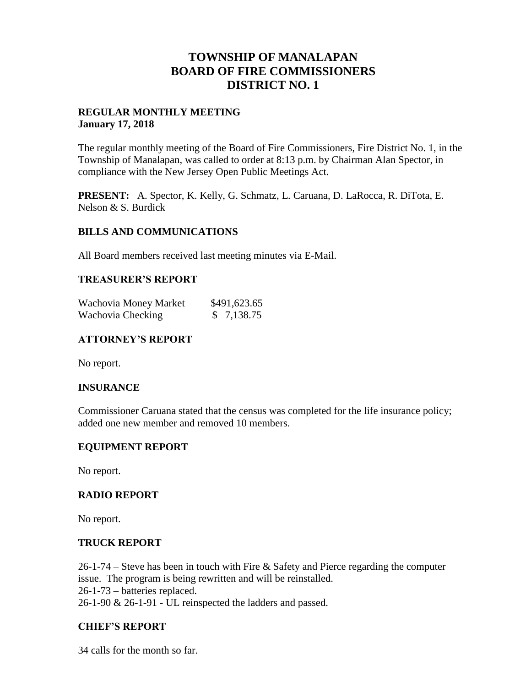# **TOWNSHIP OF MANALAPAN BOARD OF FIRE COMMISSIONERS DISTRICT NO. 1**

# **REGULAR MONTHLY MEETING January 17, 2018**

The regular monthly meeting of the Board of Fire Commissioners, Fire District No. 1, in the Township of Manalapan, was called to order at 8:13 p.m. by Chairman Alan Spector, in compliance with the New Jersey Open Public Meetings Act.

**PRESENT:** A. Spector, K. Kelly, G. Schmatz, L. Caruana, D. LaRocca, R. DiTota, E. Nelson & S. Burdick

## **BILLS AND COMMUNICATIONS**

All Board members received last meeting minutes via E-Mail.

## **TREASURER'S REPORT**

| Wachovia Money Market | \$491,623.65 |
|-----------------------|--------------|
| Wachovia Checking     | \$7,138.75   |

# **ATTORNEY'S REPORT**

No report.

## **INSURANCE**

Commissioner Caruana stated that the census was completed for the life insurance policy; added one new member and removed 10 members.

## **EQUIPMENT REPORT**

No report.

## **RADIO REPORT**

No report.

#### **TRUCK REPORT**

26-1-74 – Steve has been in touch with Fire & Safety and Pierce regarding the computer issue. The program is being rewritten and will be reinstalled. 26-1-73 – batteries replaced. 26-1-90 & 26-1-91 - UL reinspected the ladders and passed.

# **CHIEF'S REPORT**

34 calls for the month so far.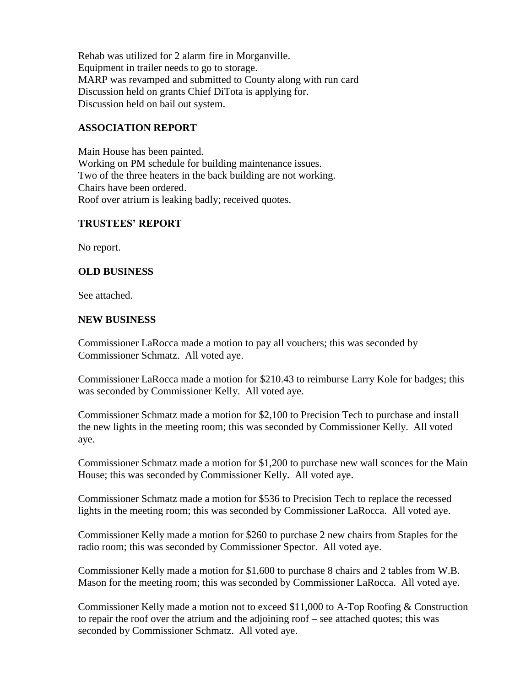Rehab was utilized for 2 alarm fire in Morganville. Equipment in trailer needs to go to storage. MARP was revamped and submitted to County along with run card Discussion held on grants Chief DiTota is applying for. Discussion held on bail out system.

# **ASSOCIATION REPORT**

Main House has been painted. Working on PM schedule for building maintenance issues. Two of the three heaters in the back building are not working. Chairs have been ordered. Roof over atrium is leaking badly; received quotes.

# **TRUSTEES' REPORT**

No report.

# **OLD BUSINESS**

See attached.

## **NEW BUSINESS**

Commissioner LaRocca made a motion to pay all vouchers; this was seconded by Commissioner Schmatz. All voted aye.

Commissioner LaRocca made a motion for \$210.43 to reimburse Larry Kole for badges; this was seconded by Commissioner Kelly. All voted aye.

Commissioner Schmatz made a motion for \$2,100 to Precision Tech to purchase and install the new lights in the meeting room; this was seconded by Commissioner Kelly. All voted aye.

Commissioner Schmatz made a motion for \$1,200 to purchase new wall sconces for the Main House; this was seconded by Commissioner Kelly. All voted aye.

Commissioner Schmatz made a motion for \$536 to Precision Tech to replace the recessed lights in the meeting room; this was seconded by Commissioner LaRocca. All voted aye.

Commissioner Kelly made a motion for \$260 to purchase 2 new chairs from Staples for the radio room; this was seconded by Commissioner Spector. All voted aye.

Commissioner Kelly made a motion for \$1,600 to purchase 8 chairs and 2 tables from W.B. Mason for the meeting room; this was seconded by Commissioner LaRocca. All voted aye.

Commissioner Kelly made a motion not to exceed \$11,000 to A-Top Roofing & Construction to repair the roof over the atrium and the adjoining roof – see attached quotes; this was seconded by Commissioner Schmatz. All voted aye.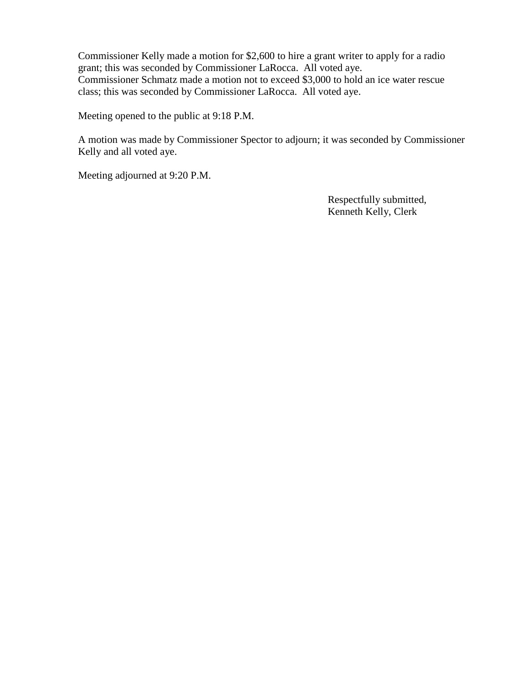Commissioner Kelly made a motion for \$2,600 to hire a grant writer to apply for a radio grant; this was seconded by Commissioner LaRocca. All voted aye. Commissioner Schmatz made a motion not to exceed \$3,000 to hold an ice water rescue class; this was seconded by Commissioner LaRocca. All voted aye.

Meeting opened to the public at 9:18 P.M.

A motion was made by Commissioner Spector to adjourn; it was seconded by Commissioner Kelly and all voted aye.

Meeting adjourned at 9:20 P.M.

 Respectfully submitted, Kenneth Kelly, Clerk